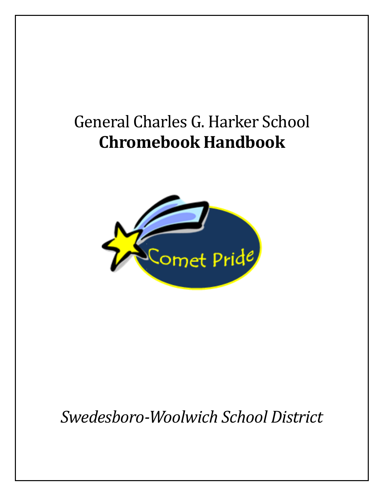# General Charles G. Harker School **Chromebook Handbook**



*Swedesboro-Woolwich School District*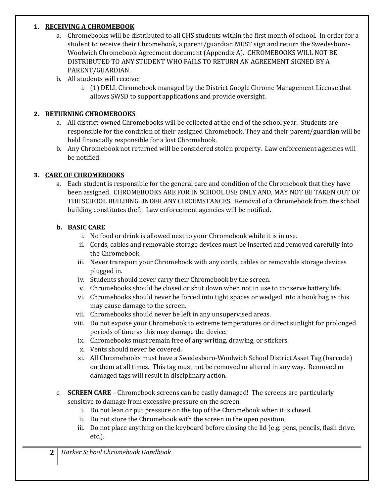#### **1. RECEIVING A CHROMEBOOK**

- a. Chromebooks will be distributed to all CHS students within the first month of school. In order for a student to receive their Chromebook, a parent/guardian MUST sign and return the Swedesboro-Woolwich Chromebook Agreement document (Appendix A). CHROMEBOOKS WILL NOT BE DISTRIBUTED TO ANY STUDENT WHO FAILS TO RETURN AN AGREEMENT SIGNED BY A PARENT/GUARDIAN.
- b. All students will receive:
	- i. (1) DELL Chromebook managed by the District Google Chrome Management License that allows SWSD to support applications and provide oversight.

#### **2. RETURNING CHROMEBOOKS**

- a. All district-owned Chromebooks will be collected at the end of the school year. Students are responsible for the condition of their assigned Chromebook. They and their parent/guardian will be held financially responsible for a lost Chromebook.
- b. Any Chromebook not returned will be considered stolen property. Law enforcement agencies will be notified.

#### **3. CARE OF CHROMEBOOKS**

a. Each student is responsible for the general care and condition of the Chromebook that they have been assigned. CHROMEBOOKS ARE FOR IN SCHOOL USE ONLY AND, MAY NOT BE TAKEN OUT OF THE SCHOOL BUILDING UNDER ANY CIRCUMSTANCES. Removal of a Chromebook from the school building constitutes theft. Law enforcement agencies will be notified.

#### **b. BASIC CARE**

- i. No food or drink is allowed next to your Chromebook while it is in use.
- ii. Cords, cables and removable storage devices must be inserted and removed carefully into the Chromebook.
- iii. Never transport your Chromebook with any cords, cables or removable storage devices plugged in.
- iv. Students should never carry their Chromebook by the screen.
- v. Chromebooks should be closed or shut down when not in use to conserve battery life.
- vi. Chromebooks should never be forced into tight spaces or wedged into a book bag as this may cause damage to the screen.
- vii. Chromebooks should never be left in any unsupervised areas.
- viii. Do not expose your Chromebook to extreme temperatures or direct sunlight for prolonged periods of time as this may damage the device.
- ix. Chromebooks must remain free of any writing, drawing, or stickers.
- x. Vents should never be covered.
- xi. All Chromebooks must have a Swedesboro-Woolwich School District Asset Tag (barcode) on them at all times. This tag must not be removed or altered in any way. Removed or damaged tags will result in disciplinary action.
- c. **SCREEN CARE** Chromebook screens can be easily damaged! The screens are particularly sensitive to damage from excessive pressure on the screen.
	- i. Do not lean or put pressure on the top of the Chromebook when it is closed.
	- ii. Do not store the Chromebook with the screen in the open position.
	- iii. Do not place anything on the keyboard before closing the lid (e.g. pens, pencils, flash drive, etc.).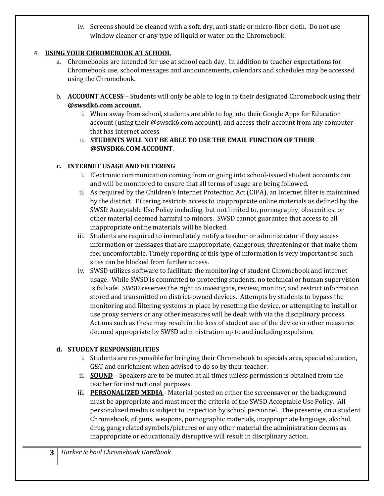iv. Screens should be cleaned with a soft, dry, anti-static or micro-fiber cloth. Do not use window cleaner or any type of liquid or water on the Chromebook.

#### 4. **USING YOUR CHROMEBOOK AT SCHOOL**

- a. Chromebooks are intended for use at school each day. In addition to teacher expectations for Chromebook use, school messages and announcements, calendars and schedules may be accessed using the Chromebook.
- b. **ACCOUNT ACCESS** Students will only be able to log in to their designated Chromebook using their **@swsdk6.com account.**
	- i. When away from school, students are able to log into their Google Apps for Education account (using their @swsdk6.com account), and access their account from any computer that has internet access.
	- ii. **STUDENTS WILL NOT BE ABLE TO USE THE EMAIL FUNCTION OF THEIR @SWSDK6.COM ACCOUNT**.

#### **c. INTERNET USAGE AND FILTERING**

- i. Electronic communication coming from or going into school-issued student accounts can and will be monitored to ensure that all terms of usage are being followed.
- ii. As required by the Children's Internet Protection Act (CIPA), an Internet filter is maintained by the district. Filtering restricts access to inappropriate online materials as defined by the SWSD Acceptable Use Policy including, but not limited to, pornography, obscenities, or other material deemed harmful to minors. SWSD cannot guarantee that access to all inappropriate online materials will be blocked.
- iii. Students are required to immediately notify a teacher or administrator if they access information or messages that are inappropriate, dangerous, threatening or that make them feel uncomfortable. Timely reporting of this type of information is very important so such sites can be blocked from further access.
- iv. SWSD utilizes software to facilitate the monitoring of student Chromebook and internet usage. While SWSD is committed to protecting students, no technical or human supervision is failsafe. SWSD reserves the right to investigate, review, monitor, and restrict information stored and transmitted on district-owned devices. Attempts by students to bypass the monitoring and filtering systems in place by resetting the device, or attempting to install or use proxy servers or any other measures will be dealt with via the disciplinary process. Actions such as these may result in the loss of student use of the device or other measures deemed appropriate by SWSD administration up to and including expulsion.

#### **d. STUDENT RESPONSIBILITIES**

- i. Students are responsible for bringing their Chromebook to specials area, special education, G&T and enrichment when advised to do so by their teacher.
- ii. **SOUND** Speakers are to be muted at all times unless permission is obtained from the teacher for instructional purposes.
- iii. **PERSONALIZED MEDIA** Material posted on either the screensaver or the background must be appropriate and must meet the criteria of the SWSD Acceptable Use Policy. All personalized media is subject to inspection by school personnel. The presence, on a student Chromebook, of guns, weapons, pornographic materials, inappropriate language, alcohol, drug, gang related symbols/pictures or any other material the administration deems as inappropriate or educationally disruptive will result in disciplinary action.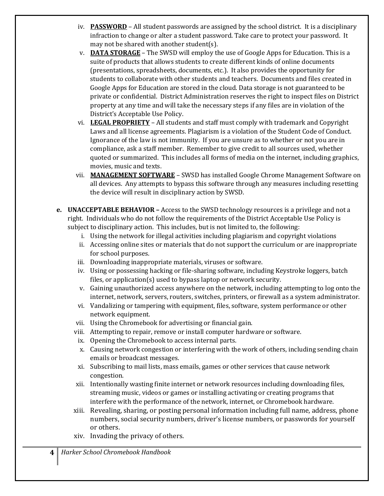- iv. **PASSWORD** All student passwords are assigned by the school district. It is a disciplinary infraction to change or alter a student password. Take care to protect your password. It may not be shared with another student(s).
- v. **DATA STORAGE** The SWSD will employ the use of Google Apps for Education. This is a suite of products that allows students to create different kinds of online documents (presentations, spreadsheets, documents, etc.). It also provides the opportunity for students to collaborate with other students and teachers. Documents and files created in Google Apps for Education are stored in the cloud. Data storage is not guaranteed to be private or confidential. District Administration reserves the right to inspect files on District property at any time and will take the necessary steps if any files are in violation of the District's Acceptable Use Policy.
- vi. **LEGAL PROPRIETY** All students and staff must comply with trademark and Copyright Laws and all license agreements. Plagiarism is a violation of the Student Code of Conduct. Ignorance of the law is not immunity. If you are unsure as to whether or not you are in compliance, ask a staff member. Remember to give credit to all sources used, whether quoted or summarized. This includes all forms of media on the internet, including graphics, movies, music and texts.
- vii. **MANAGEMENT SOFTWARE** SWSD has installed Google Chrome Management Software on all devices. Any attempts to bypass this software through any measures including resetting the device will result in disciplinary action by SWSD.
- **e. UNACCEPTABLE BEHAVIOR –** Access to the SWSD technology resources is a privilege and not a right. Individuals who do not follow the requirements of the District Acceptable Use Policy is subject to disciplinary action. This includes, but is not limited to, the following:
	- i. Using the network for illegal activities including plagiarism and copyright violations
	- ii. Accessing online sites or materials that do not support the curriculum or are inappropriate for school purposes.
	- iii. Downloading inappropriate materials, viruses or software.
	- iv. Using or possessing hacking or file-sharing software, including Keystroke loggers, batch files, or application(s) used to bypass laptop or network security.
	- v. Gaining unauthorized access anywhere on the network, including attempting to log onto the internet, network, servers, routers, switches, printers, or firewall as a system administrator.
	- vi. Vandalizing or tampering with equipment, files, software, system performance or other network equipment.
	- vii. Using the Chromebook for advertising or financial gain.
	- viii. Attempting to repair, remove or install computer hardware or software.
	- ix. Opening the Chromebook to access internal parts.
	- x. Causing network congestion or interfering with the work of others, including sending chain emails or broadcast messages.
	- xi. Subscribing to mail lists, mass emails, games or other services that cause network congestion.
	- xii. Intentionally wasting finite internet or network resources including downloading files, streaming music, videos or games or installing activating or creating programs that interfere with the performance of the network, internet, or Chromebook hardware.
	- xiii. Revealing, sharing, or posting personal information including full name, address, phone numbers, social security numbers, driver's license numbers, or passwords for yourself or others.
	- xiv. Invading the privacy of others.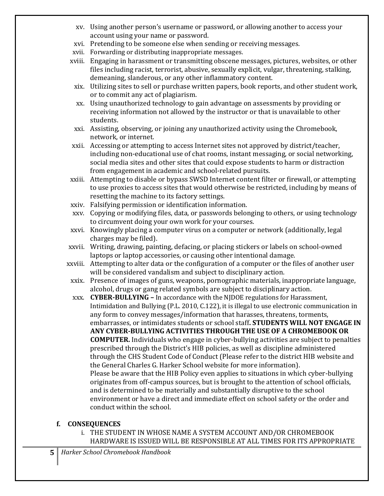- xv. Using another person's username or password, or allowing another to access your account using your name or password.
- xvi. Pretending to be someone else when sending or receiving messages.
- xvii. Forwarding or distributing inappropriate messages.
- xviii. Engaging in harassment or transmitting obscene messages, pictures, websites, or other files including racist, terrorist, abusive, sexually explicit, vulgar, threatening, stalking, demeaning, slanderous, or any other inflammatory content.
	- xix. Utilizing sites to sell or purchase written papers, book reports, and other student work, or to commit any act of plagiarism.
	- xx. Using unauthorized technology to gain advantage on assessments by providing or receiving information not allowed by the instructor or that is unavailable to other students.
	- xxi. Assisting, observing, or joining any unauthorized activity using the Chromebook, network, or internet.
- xxii. Accessing or attempting to access Internet sites not approved by district/teacher, including non-educational use of chat rooms, instant messaging, or social networking, social media sites and other sites that could expose students to harm or distraction from engagement in academic and school-related pursuits.
- xxiii. Attempting to disable or bypass SWSD Internet content filter or firewall, or attempting to use proxies to access sites that would otherwise be restricted, including by means of resetting the machine to its factory settings.
- xxiv. Falsifying permission or identification information.
- xxv. Copying or modifying files, data, or passwords belonging to others, or using technology to circumvent doing your own work for your courses.
- xxvi. Knowingly placing a computer virus on a computer or network (additionally, legal charges may be filed).
- xxvii. Writing, drawing, painting, defacing, or placing stickers or labels on school-owned laptops or laptop accessories, or causing other intentional damage.
- xxviii. Attempting to alter data or the configuration of a computer or the files of another user will be considered vandalism and subject to disciplinary action.
- xxix. Presence of images of guns, weapons, pornographic materials, inappropriate language, alcohol, drugs or gang related symbols are subject to disciplinary action.
- xxx. **CYBER-BULLYING –** In accordance with the NJDOE regulations for Harassment, Intimidation and Bullying (P.L. 2010, C.122), it is illegal to use electronic communication in any form to convey messages/information that harasses, threatens, torments, embarrasses, or intimidates students or school staff**. STUDENTS WILL NOT ENGAGE IN ANY CYBER-BULLYING ACTIVITIES THROUGH THE USE OF A CHROMEBOOK OR COMPUTER.** Individuals who engage in cyber-bullying activities are subject to penalties prescribed through the District's HIB policies, as well as discipline administered through the CHS Student Code of Conduct (Please refer to the district HIB website and the General Charles G. Harker School website for more information). Please be aware that the HIB Policy even applies to situations in which cyber-bullying originates from off-campus sources, but is brought to the attention of school officials, and is determined to be materially and substantially disruptive to the school environment or have a direct and immediate effect on school safety or the order and conduct within the school.

#### **f. CONSEQUENCES**

i. THE STUDENT IN WHOSE NAME A SYSTEM ACCOUNT AND/OR CHROMEBOOK HARDWARE IS ISSUED WILL BE RESPONSIBLE AT ALL TIMES FOR ITS APPROPRIATE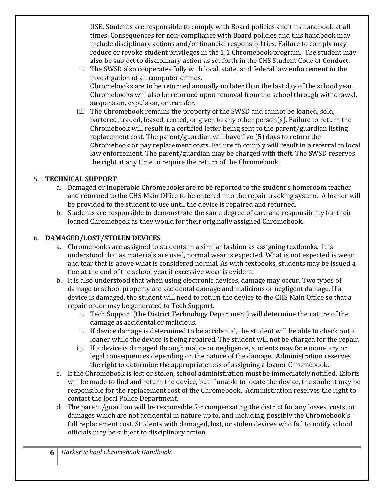USE. Students are responsible to comply with Board policies and this handbook at all times. Consequences for non-compliance with Board policies and this handbook may include disciplinary actions and/or financial responsibilities. Failure to comply may reduce or revoke student privileges in the 1:1 Chromebook program. The student may also be subject to disciplinary action as set forth in the CHS Student Code of Conduct.

- ii. The SWSD also cooperates fully with local, state, and federal law enforcement in the investigation of all computer crimes. Chromebooks are to be returned annually no later than the last day of the school year. Chromebooks will also be returned upon removal from the school through withdrawal, suspension, expulsion, or transfer.
- iii. The Chromebook remains the property of the SWSD and cannot be loaned, sold, bartered, traded, leased, rented, or given to any other person(s). Failure to return the Chromebook will result in a certified letter being sent to the parent/guardian listing replacement cost. The parent/guardian will have five (5) days to return the Chromebook or pay replacement costs. Failure to comply will result in a referral to local law enforcement. The parent/guardian may be charged with theft. The SWSD reserves the right at any time to require the return of the Chromebook.

#### 5. **TECHNICAL SUPPORT**

- a. Damaged or inoperable Chromebooks are to be reported to the student's homeroom teacher and returned to the CHS Main Office to be entered into the repair tracking system. A loaner will be provided to the student to use until the device is repaired and returned.
- b. Students are responsible to demonstrate the same degree of care and responsibility for their loaned Chromebook as they would for their originally assigned Chromebook.

#### 6. **DAMAGED/LOST/STOLEN DEVICES**

- a. Chromebooks are assigned to students in a similar fashion as assigning textbooks. It is understood that as materials are used, normal wear is expected. What is not expected is wear and tear that is above what is considered normal. As with textbooks, students may be issued a fine at the end of the school year if excessive wear is evident.
- b. It is also understood that when using electronic devices, damage may occur. Two types of damage to school property are accidental damage and malicious or negligent damage. If a device is damaged, the student will need to return the device to the CHS Main Office so that a repair order may be generated to Tech Support.
	- i. Tech Support (the District Technology Department) will determine the nature of the damage as accidental or malicious.
	- ii. If device damage is determined to be accidental, the student will be able to check out a loaner while the device is being repaired. The student will not be charged for the repair.
	- iii. If a device is damaged through malice or negligence, students may face monetary or legal consequences depending on the nature of the damage. Administration reserves the right to determine the appropriateness of assigning a loaner Chromebook.
- c. If the Chromebook is lost or stolen, school administration must be immediately notified. Efforts will be made to find and return the device, but if unable to locate the device, the student may be responsible for the replacement cost of the Chromebook. Administration reserves the right to contact the local Police Department.
- d. The parent/guardian will be responsible for compensating the district for any losses, costs, or damages which are not accidental in nature up to, and including, possibly the Chromebook's full replacement cost. Students with damaged, lost, or stolen devices who fail to notify school officials may be subject to disciplinary action.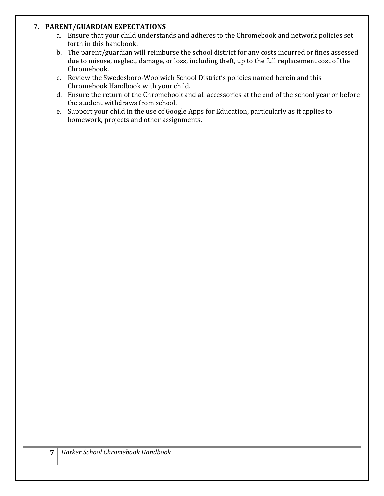#### 7. **PARENT/GUARDIAN EXPECTATIONS**

- a. Ensure that your child understands and adheres to the Chromebook and network policies set forth in this handbook.
- b. The parent/guardian will reimburse the school district for any costs incurred or fines assessed due to misuse, neglect, damage, or loss, including theft, up to the full replacement cost of the Chromebook.
- c. Review the Swedesboro-Woolwich School District's policies named herein and this Chromebook Handbook with your child.
- d. Ensure the return of the Chromebook and all accessories at the end of the school year or before the student withdraws from school.
- e. Support your child in the use of Google Apps for Education, particularly as it applies to homework, projects and other assignments.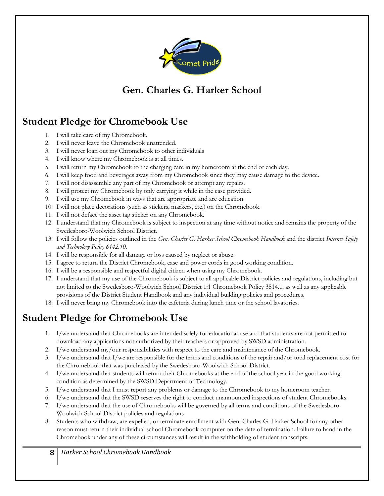

### **Gen. Charles G. Harker School**

### **Student Pledge for Chromebook Use**

- 1. I will take care of my Chromebook.
- 2. I will never leave the Chromebook unattended.
- 3. I will never loan out my Chromebook to other individuals
- 4. I will know where my Chromebook is at all times.
- 5. I will return my Chromebook to the charging care in my homeroom at the end of each day.
- 6. I will keep food and beverages away from my Chromebook since they may cause damage to the device.
- 7. I will not disassemble any part of my Chromebook or attempt any repairs.
- 8. I will protect my Chromebook by only carrying it while in the case provided.
- 9. I will use my Chromebook in ways that are appropriate and are education.
- 10. I will not place decorations (such as stickers, markers, etc.) on the Chromebook.
- 11. I will not deface the asset tag sticker on any Chromebook.
- 12. I understand that my Chromebook is subject to inspection at any time without notice and remains the property of the Swedesboro-Woolwich School District.
- 13. I will follow the policies outlined in the *Gen. Charles G. Harker School Chromebook Handbook* and the district *Internet Safety and Technology Policy 6142.10.*
- 14. I will be responsible for all damage or loss caused by neglect or abuse.
- 15. I agree to return the District Chromebook, case and power cords in good working condition.
- 16. I will be a responsible and respectful digital citizen when using my Chromebook.
- 17. I understand that my use of the Chromebook is subject to all applicable District policies and regulations, including but not limited to the Swedesboro-Woolwich School District 1:1 Chromebook Policy 3514.1, as well as any applicable provisions of the District Student Handbook and any individual building policies and procedures.
- 18. I will never bring my Chromebook into the cafeteria during lunch time or the school lavatories.

### **Student Pledge for Chromebook Use**

- 1. I/we understand that Chromebooks are intended solely for educational use and that students are not permitted to download any applications not authorized by their teachers or approved by SWSD administration.
- 2. I/we understand my/our responsibilities with respect to the care and maintenance of the Chromebook.
- 3. I/we understand that I/we are responsible for the terms and conditions of the repair and/or total replacement cost for the Chromebook that was purchased by the Swedesboro-Woolwich School District.
- 4. I/we understand that students will return their Chromebooks at the end of the school year in the good working condition as determined by the SWSD Department of Technology.
- 5. I/we understand that I must report any problems or damage to the Chromebook to my homeroom teacher.
- 6. I/we understand that the SWSD reserves the right to conduct unannounced inspections of student Chromebooks.
- 7. I/we understand that the use of Chromebooks will be governed by all terms and conditions of the Swedesboro-Woolwich School District policies and regulations
- 8. Students who withdraw, are expelled, or terminate enrollment with Gen. Charles G. Harker School for any other reason must return their individual school Chromebook computer on the date of termination. Failure to hand in the Chromebook under any of these circumstances will result in the withholding of student transcripts.